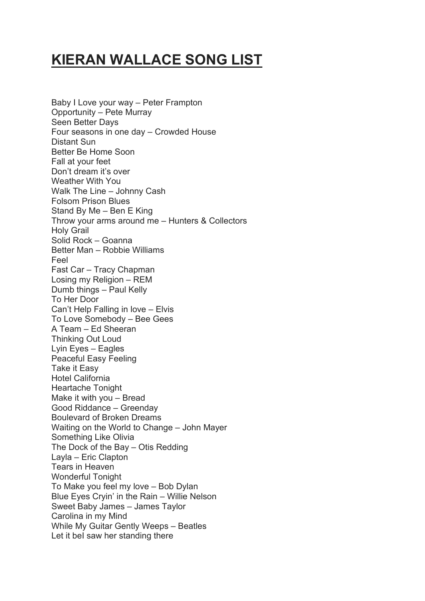## **KIERAN WALLACE SONG LIST**

Baby I Love your way – Peter Frampton Opportunity – Pete Murray Seen Better Days Four seasons in one day – Crowded House Distant Sun Better Be Home Soon Fall at your feet Don't dream it's over Weather With You Walk The Line – Johnny Cash Folsom Prison Blues Stand By Me – Ben E King Throw your arms around me – Hunters & Collectors Holy Grail Solid Rock – Goanna Better Man – Robbie Williams Feel Fast Car – Tracy Chapman Losing my Religion – REM Dumb things – Paul Kelly To Her Door Can't Help Falling in love – Elvis To Love Somebody – Bee Gees A Team – Ed Sheeran Thinking Out Loud Lyin Eyes – Eagles Peaceful Easy Feeling Take it Easy Hotel California Heartache Tonight Make it with you – Bread Good Riddance – Greenday Boulevard of Broken Dreams Waiting on the World to Change – John Mayer Something Like Olivia The Dock of the Bay – Otis Redding Layla – Eric Clapton Tears in Heaven Wonderful Tonight To Make you feel my love – Bob Dylan Blue Eyes Cryin' in the Rain – Willie Nelson Sweet Baby James – James Taylor Carolina in my Mind While My Guitar Gently Weeps – Beatles Let it beI saw her standing there